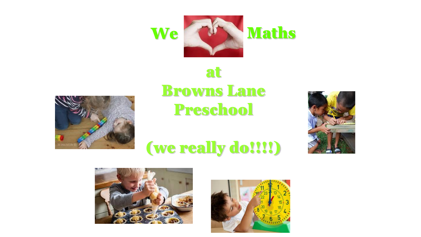



## at Browns Lane Preschool



## (we really do!!!!)



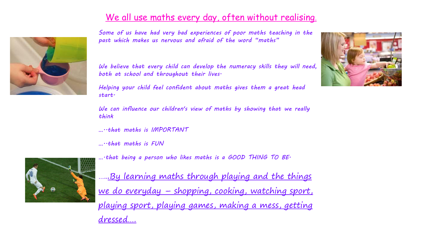## We all use maths every day, often without realising.



*Some of us have had very bad experiences of poor maths teaching in the past which makes us nervous and afraid of the word "maths"*

*We believe that every child can develop the numeracy skills they will need, both at school and throughout their lives.*

*Helping your child feel confident about maths gives them a great head start.*

*We can influence our children's view of maths by showing that we really think* 

*…..that maths is IMPORTANT*

*…..that maths is FUN*



*….that being a person who likes maths is a GOOD THING TO BE.*

…...By learning maths through playing and the things we do everyday - shopping, cooking, watching sport, playing sport, playing games, making a mess, getting dressed….

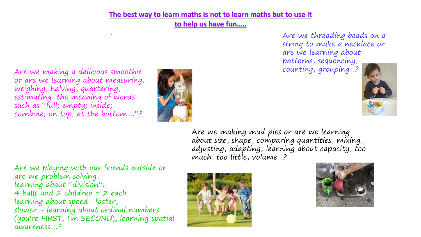**The best way to learn maths is not to learn maths but to use it** 

**to help us have fun…..**

T. Are we threading beads on a string to make a necklace or are we learning about patterns, sequencing,



Are we making a delicious smoothie counting, grouping...? or are we learning about measuring, weighing, halving, quartering, estimating, the meaning of words such as "full; empty; inside; combine; on top; at the bottom...."?



Are we making mud pies or are we learning about size, shape, comparing quantities, mixing, adjusting, adapting, learning about capacity, too much, too little, volume…?

Are we playing with our friends outside or are we problem solving, learning about "division": 4 balls and 2 children = 2 each learning about speed- faster, slower - learning about ordinal numbers (you're FIRST, I'm SECOND), learning spatial awareness….?